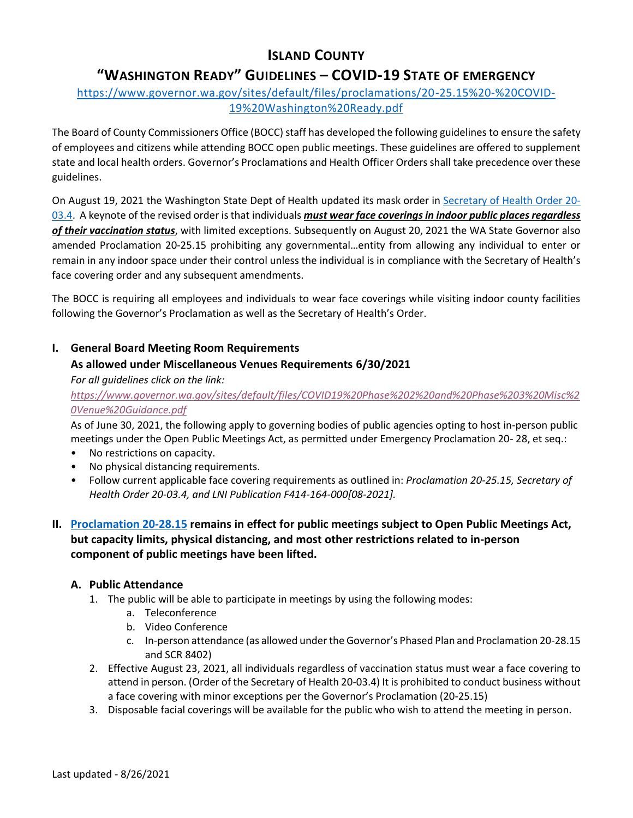# **ISLAND COUNTY**

# **"WASHINGTON READY" GUIDELINES – COVID-19 STATE OF EMERGENCY**

## [https://www.governor.wa.gov/sites/default/files/proclamations/20-25.15%20-%20COVID-](https://www.governor.wa.gov/sites/default/files/proclamations/20-25.15%20-%20COVID-19%20Washington%20Ready.pdf)[19%20Washington%20Ready.pdf](https://www.governor.wa.gov/sites/default/files/proclamations/20-25.15%20-%20COVID-19%20Washington%20Ready.pdf)

The Board of County Commissioners Office (BOCC) staff has developed the following guidelines to ensure the safety of employees and citizens while attending BOCC open public meetings. These guidelines are offered to supplement state and local health orders. Governor's Proclamations and Health Officer Orders shall take precedence over these guidelines.

On August 19, 2021 the Washington State Dept of Health updated its mask order in [Secretary of Health Order 20-](https://www.doh.wa.gov/Portals/1/Documents/1600/coronavirus/Secretary_of_Health_Order_20-03_Statewide_Face_Coverings.pdf) [03.4.](https://www.doh.wa.gov/Portals/1/Documents/1600/coronavirus/Secretary_of_Health_Order_20-03_Statewide_Face_Coverings.pdf) A keynote of the revised order is that individuals *must wear face coverings in indoor public places regardless of their vaccination status*, with limited exceptions. Subsequently on August 20, 2021 the WA State Governor also amended Proclamation 20-25.15 prohibiting any governmental…entity from allowing any individual to enter or remain in any indoor space under their control unless the individual is in compliance with the Secretary of Health's face covering order and any subsequent amendments.

The BOCC is requiring all employees and individuals to wear face coverings while visiting indoor county facilities following the Governor's Proclamation as well as the Secretary of Health's Order.

## **I. General Board Meeting Room Requirements**

## **As allowed under Miscellaneous Venues Requirements 6/30/2021**

#### *For all guidelines click on the link:*

*[https://www.governor.wa.gov/sites/default/files/COVID19%20Phase%202%20and%20Phase%203%20Misc%2](https://www.governor.wa.gov/sites/default/files/COVID19%20Phase%202%20and%20Phase%203%20Misc%20Venue%20Guidance.pdf) [0Venue%20Guidance.pdf](https://www.governor.wa.gov/sites/default/files/COVID19%20Phase%202%20and%20Phase%203%20Misc%20Venue%20Guidance.pdf)*

As of June 30, 2021, the following apply to governing bodies of public agencies opting to host in-person public meetings under the Open Public Meetings Act, as permitted under Emergency Proclamation 20- 28, et seq.:

- No restrictions on capacity.
- No physical distancing requirements.
- Follow current applicable face covering requirements as outlined in: *Proclamation 20-25.15, Secretary of Health Order 20-03.4, and LNI Publication F414-164-000[08-2021].*

## **II. [Proclamation 20-28.15](https://www.governor.wa.gov/sites/default/files/proclamations/proc_20-28.15.pdf) remains in effect for public meetings subject to Open Public Meetings Act, but capacity limits, physical distancing, and most other restrictions related to in-person component of public meetings have been lifted.**

## **A. Public Attendance**

- 1. The public will be able to participate in meetings by using the following modes:
	- a. Teleconference
	- b. Video Conference
	- c. In-person attendance (as allowed under the Governor's Phased Plan and Proclamation 20-28.15 and SCR 8402)
- 2. Effective August 23, 2021, all individuals regardless of vaccination status must wear a face covering to attend in person. (Order of the Secretary of Health 20-03.4) It is prohibited to conduct business without a face covering with minor exceptions per the Governor's Proclamation (20-25.15)
- 3. Disposable facial coverings will be available for the public who wish to attend the meeting in person.